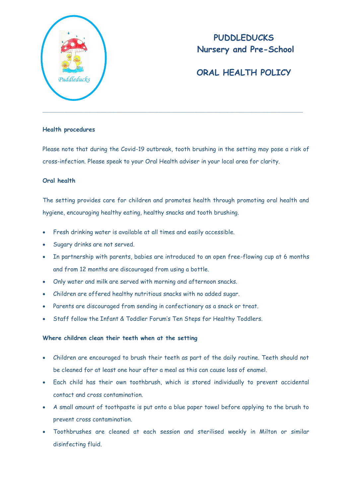

# **PUDDLEDUCKS Nursery and Pre-School**

# **ORAL HEALTH POLICY**

#### **Health procedures**

Please note that during the Covid-19 outbreak, tooth brushing in the setting may pose a risk of cross-infection. Please speak to your Oral Health adviser in your local area for clarity.

### **Oral health**

The setting provides care for children and promotes health through promoting oral health and hygiene, encouraging healthy eating, healthy snacks and tooth brushing.

- Fresh drinking water is available at all times and easily accessible.
- Sugary drinks are not served.
- In partnership with parents, babies are introduced to an open free-flowing cup at 6 months and from 12 months are discouraged from using a bottle.
- Only water and milk are served with morning and afternoon snacks.
- Children are offered healthy nutritious snacks with no added sugar.
- Parents are discouraged from sending in confectionary as a snack or treat.
- Staff follow the Infant & Toddler Forum's Ten Steps for Healthy Toddlers.

### **Where children clean their teeth when at the setting**

- Children are encouraged to brush their teeth as part of the daily routine. Teeth should not be cleaned for at least one hour after a meal as this can cause loss of enamel.
- Each child has their own toothbrush, which is stored individually to prevent accidental contact and cross contamination.
- A small amount of toothpaste is put onto a blue paper towel before applying to the brush to prevent cross contamination.
- Toothbrushes are cleaned at each session and sterilised weekly in Milton or similar disinfecting fluid.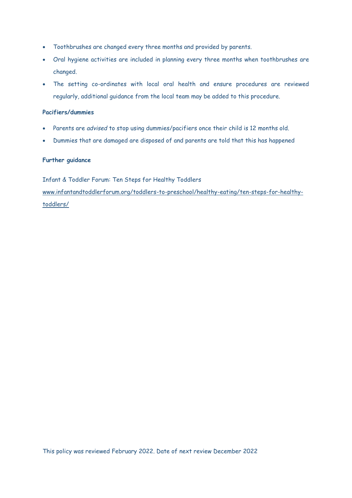- Toothbrushes are changed every three months and provided by parents.
- Oral hygiene activities are included in planning every three months when toothbrushes are changed.
- The setting co-ordinates with local oral health and ensure procedures are reviewed regularly, additional guidance from the local team may be added to this procedure.

#### **Pacifiers/dummies**

- Parents are *advised* to stop using dummies/pacifiers once their child is 12 months old.
- Dummies that are damaged are disposed of and parents are told that this has happened

#### **Further guidance**

Infant & Toddler Forum: Ten Steps for Healthy Toddlers

[www.infantandtoddlerforum.org/toddlers-to-preschool/healthy-eating/ten-steps-for-healthy](http://www.infantandtoddlerforum.org/toddlers-to-preschool/healthy-eating/ten-steps-for-healthy-toddlers/)[toddlers/](http://www.infantandtoddlerforum.org/toddlers-to-preschool/healthy-eating/ten-steps-for-healthy-toddlers/)